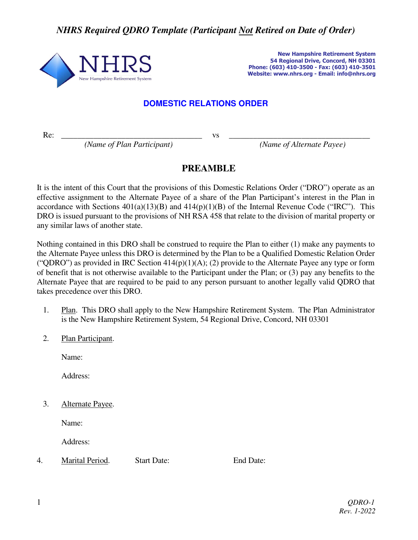*NHRS Required QDRO Template (Participant Not Retired on Date of Order)* 



**New Hampshire Retirement System 54 Regional Drive, Concord, NH 03301 Phone: (603) 410-3500 - Fax: (603) 410-3501 Website: www.nhrs.org - Email: info@nhrs.org**

## **DOMESTIC RELATIONS ORDER**

Re: *\_\_\_\_\_\_\_\_\_\_\_\_\_\_\_\_\_\_\_\_\_\_\_\_\_\_\_\_\_\_\_\_\_\_\_* vs *\_\_\_\_\_\_\_\_\_\_\_\_\_\_\_\_\_\_\_\_\_\_\_\_\_\_\_\_\_\_\_\_\_\_\_* 

 *(Name of Plan Participant) (Name of Alternate Payee)* 

## **PREAMBLE**

It is the intent of this Court that the provisions of this Domestic Relations Order ("DRO") operate as an effective assignment to the Alternate Payee of a share of the Plan Participant's interest in the Plan in accordance with Sections  $401(a)(13)(B)$  and  $414(p)(1)(B)$  of the Internal Revenue Code ("IRC"). This DRO is issued pursuant to the provisions of NH RSA 458 that relate to the division of marital property or any similar laws of another state.

Nothing contained in this DRO shall be construed to require the Plan to either (1) make any payments to the Alternate Payee unless this DRO is determined by the Plan to be a Qualified Domestic Relation Order ("QDRO") as provided in IRC Section  $414(p)(1)(A)$ ; (2) provide to the Alternate Payee any type or form of benefit that is not otherwise available to the Participant under the Plan; or (3) pay any benefits to the Alternate Payee that are required to be paid to any person pursuant to another legally valid QDRO that takes precedence over this DRO.

- 1. Plan. This DRO shall apply to the New Hampshire Retirement System. The Plan Administrator is the New Hampshire Retirement System, 54 Regional Drive, Concord, NH 03301
- 2. Plan Participant.

Name:

Address:

3. Alternate Payee.

Name:

Address:

4. Marital Period. Start Date: End Date: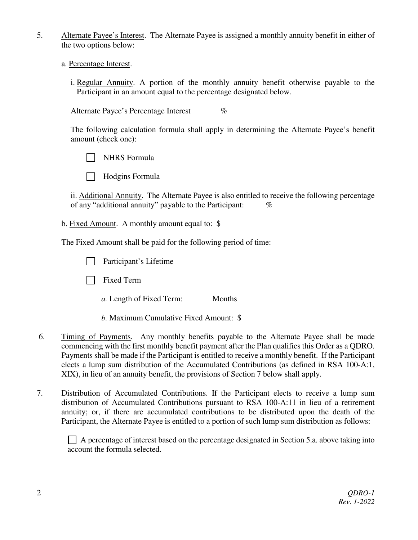- 5. Alternate Payee's Interest. The Alternate Payee is assigned a monthly annuity benefit in either of the two options below:
	- a. Percentage Interest.
		- i. Regular Annuity. A portion of the monthly annuity benefit otherwise payable to the Participant in an amount equal to the percentage designated below.

Alternate Payee's Percentage Interest  $\%$ 

The following calculation formula shall apply in determining the Alternate Payee's benefit amount (check one):

NHRS Formula



ii. Additional Annuity. The Alternate Payee is also entitled to receive the following percentage of any "additional annuity" payable to the Participant:  $\%$ 

b. Fixed Amount. A monthly amount equal to: \$

The Fixed Amount shall be paid for the following period of time:

Participant's Lifetime

**Fixed Term** 

*a.* Length of Fixed Term: Months

*b.* Maximum Cumulative Fixed Amount: \$

- 6. Timing of Payments. Any monthly benefits payable to the Alternate Payee shall be made commencing with the first monthly benefit payment after the Plan qualifies this Order as a QDRO. Payments shall be made if the Participant is entitled to receive a monthly benefit. If the Participant elects a lump sum distribution of the Accumulated Contributions (as defined in RSA 100-A:1, XIX), in lieu of an annuity benefit, the provisions of Section 7 below shall apply.
- 7. Distribution of Accumulated Contributions. If the Participant elects to receive a lump sum distribution of Accumulated Contributions pursuant to RSA 100-A:11 in lieu of a retirement annuity; or, if there are accumulated contributions to be distributed upon the death of the Participant, the Alternate Payee is entitled to a portion of such lump sum distribution as follows:

 $\Box$  A percentage of interest based on the percentage designated in Section 5.a. above taking into account the formula selected.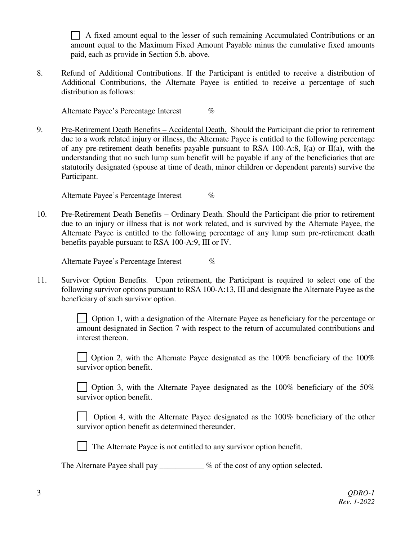A fixed amount equal to the lesser of such remaining Accumulated Contributions or an amount equal to the Maximum Fixed Amount Payable minus the cumulative fixed amounts paid, each as provide in Section 5.b. above.

8. Refund of Additional Contributions. If the Participant is entitled to receive a distribution of Additional Contributions, the Alternate Payee is entitled to receive a percentage of such distribution as follows:

Alternate Payee's Percentage Interest  $\%$ 

9. Pre-Retirement Death Benefits – Accidental Death. Should the Participant die prior to retirement due to a work related injury or illness, the Alternate Payee is entitled to the following percentage of any pre-retirement death benefits payable pursuant to RSA 100-A:8,  $I(a)$  or  $II(a)$ , with the understanding that no such lump sum benefit will be payable if any of the beneficiaries that are statutorily designated (spouse at time of death, minor children or dependent parents) survive the Participant.

Alternate Payee's Percentage Interest %

10. Pre-Retirement Death Benefits – Ordinary Death. Should the Participant die prior to retirement due to an injury or illness that is not work related, and is survived by the Alternate Payee, the Alternate Payee is entitled to the following percentage of any lump sum pre-retirement death benefits payable pursuant to RSA 100-A:9, III or IV.

Alternate Payee's Percentage Interest  $\%$ 

11. Survivor Option Benefits. Upon retirement, the Participant is required to select one of the following survivor options pursuant to RSA 100-A:13, III and designate the Alternate Payee as the beneficiary of such survivor option.

> Option 1, with a designation of the Alternate Payee as beneficiary for the percentage or amount designated in Section 7 with respect to the return of accumulated contributions and interest thereon.

> | | Option 2, with the Alternate Payee designated as the  $100\%$  beneficiary of the  $100\%$ survivor option benefit.

> Option 3, with the Alternate Payee designated as the 100% beneficiary of the 50% survivor option benefit.

> Option 4, with the Alternate Payee designated as the 100% beneficiary of the other survivor option benefit as determined thereunder.

The Alternate Payee is not entitled to any survivor option benefit.

The Alternate Payee shall pay \_\_\_\_\_\_\_\_\_ % of the cost of any option selected.